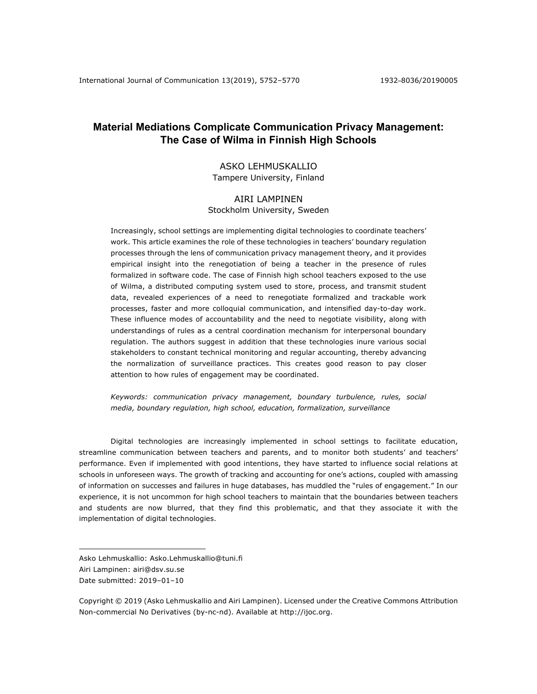# **Material Mediations Complicate Communication Privacy Management: The Case of Wilma in Finnish High Schools**

## ASKO LEHMUSKALLIO Tampere University, Finland

## AIRI LAMPINEN

## Stockholm University, Sweden

Increasingly, school settings are implementing digital technologies to coordinate teachers' work. This article examines the role of these technologies in teachers' boundary regulation processes through the lens of communication privacy management theory, and it provides empirical insight into the renegotiation of being a teacher in the presence of rules formalized in software code. The case of Finnish high school teachers exposed to the use of Wilma, a distributed computing system used to store, process, and transmit student data, revealed experiences of a need to renegotiate formalized and trackable work processes, faster and more colloquial communication, and intensified day-to-day work. These influence modes of accountability and the need to negotiate visibility, along with understandings of rules as a central coordination mechanism for interpersonal boundary regulation. The authors suggest in addition that these technologies inure various social stakeholders to constant technical monitoring and regular accounting, thereby advancing the normalization of surveillance practices. This creates good reason to pay closer attention to how rules of engagement may be coordinated.

*Keywords: communication privacy management, boundary turbulence, rules, social media, boundary regulation, high school, education, formalization, surveillance* 

Digital technologies are increasingly implemented in school settings to facilitate education, streamline communication between teachers and parents, and to monitor both students' and teachers' performance. Even if implemented with good intentions, they have started to influence social relations at schools in unforeseen ways. The growth of tracking and accounting for one's actions, coupled with amassing of information on successes and failures in huge databases, has muddled the "rules of engagement." In our experience, it is not uncommon for high school teachers to maintain that the boundaries between teachers and students are now blurred, that they find this problematic, and that they associate it with the implementation of digital technologies.

Asko Lehmuskallio: Asko.Lehmuskallio@tuni.fi

Airi Lampinen: airi@dsv.su.se

Date submitted: 2019–01–10

Copyright © 2019 (Asko Lehmuskallio and Airi Lampinen). Licensed under the Creative Commons Attribution Non-commercial No Derivatives (by-nc-nd). Available at http://ijoc.org.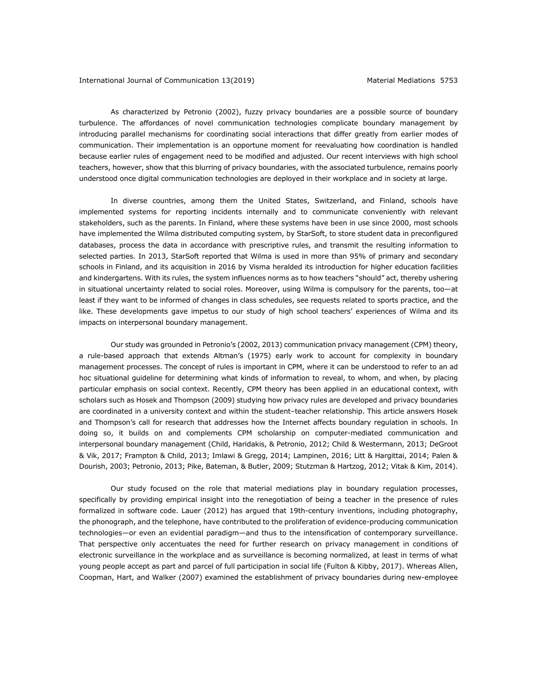As characterized by Petronio (2002), fuzzy privacy boundaries are a possible source of boundary turbulence. The affordances of novel communication technologies complicate boundary management by introducing parallel mechanisms for coordinating social interactions that differ greatly from earlier modes of communication. Their implementation is an opportune moment for reevaluating how coordination is handled because earlier rules of engagement need to be modified and adjusted. Our recent interviews with high school teachers, however, show that this blurring of privacy boundaries, with the associated turbulence, remains poorly understood once digital communication technologies are deployed in their workplace and in society at large.

In diverse countries, among them the United States, Switzerland, and Finland, schools have implemented systems for reporting incidents internally and to communicate conveniently with relevant stakeholders, such as the parents. In Finland, where these systems have been in use since 2000, most schools have implemented the Wilma distributed computing system, by StarSoft, to store student data in preconfigured databases, process the data in accordance with prescriptive rules, and transmit the resulting information to selected parties. In 2013, StarSoft reported that Wilma is used in more than 95% of primary and secondary schools in Finland, and its acquisition in 2016 by Visma heralded its introduction for higher education facilities and kindergartens. With its rules, the system influences norms as to how teachers "should" act, thereby ushering in situational uncertainty related to social roles. Moreover, using Wilma is compulsory for the parents, too—at least if they want to be informed of changes in class schedules, see requests related to sports practice, and the like. These developments gave impetus to our study of high school teachers' experiences of Wilma and its impacts on interpersonal boundary management.

Our study was grounded in Petronio's (2002, 2013) communication privacy management (CPM) theory, a rule-based approach that extends Altman's (1975) early work to account for complexity in boundary management processes. The concept of rules is important in CPM, where it can be understood to refer to an ad hoc situational guideline for determining what kinds of information to reveal, to whom, and when, by placing particular emphasis on social context. Recently, CPM theory has been applied in an educational context, with scholars such as Hosek and Thompson (2009) studying how privacy rules are developed and privacy boundaries are coordinated in a university context and within the student–teacher relationship. This article answers Hosek and Thompson's call for research that addresses how the Internet affects boundary regulation in schools. In doing so, it builds on and complements CPM scholarship on computer-mediated communication and interpersonal boundary management (Child, Haridakis, & Petronio, 2012; Child & Westermann, 2013; DeGroot & Vik, 2017; Frampton & Child, 2013; Imlawi & Gregg, 2014; Lampinen, 2016; Litt & Hargittai, 2014; Palen & Dourish, 2003; Petronio, 2013; Pike, Bateman, & Butler, 2009; Stutzman & Hartzog, 2012; Vitak & Kim, 2014).

Our study focused on the role that material mediations play in boundary regulation processes, specifically by providing empirical insight into the renegotiation of being a teacher in the presence of rules formalized in software code. Lauer (2012) has argued that 19th-century inventions, including photography, the phonograph, and the telephone, have contributed to the proliferation of evidence-producing communication technologies—or even an evidential paradigm—and thus to the intensification of contemporary surveillance. That perspective only accentuates the need for further research on privacy management in conditions of electronic surveillance in the workplace and as surveillance is becoming normalized, at least in terms of what young people accept as part and parcel of full participation in social life (Fulton & Kibby, 2017). Whereas Allen, Coopman, Hart, and Walker (2007) examined the establishment of privacy boundaries during new-employee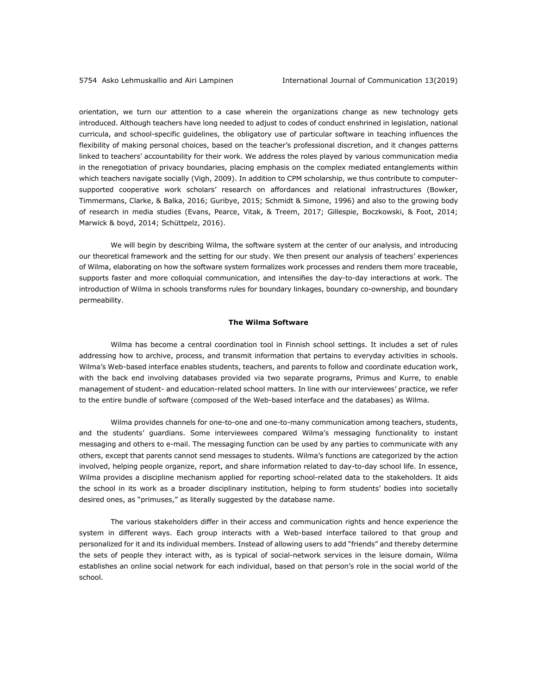orientation, we turn our attention to a case wherein the organizations change as new technology gets introduced. Although teachers have long needed to adjust to codes of conduct enshrined in legislation, national curricula, and school-specific guidelines, the obligatory use of particular software in teaching influences the flexibility of making personal choices, based on the teacher's professional discretion, and it changes patterns linked to teachers' accountability for their work. We address the roles played by various communication media in the renegotiation of privacy boundaries, placing emphasis on the complex mediated entanglements within which teachers navigate socially (Vigh, 2009). In addition to CPM scholarship, we thus contribute to computersupported cooperative work scholars' research on affordances and relational infrastructures (Bowker, Timmermans, Clarke, & Balka, 2016; Guribye, 2015; Schmidt & Simone, 1996) and also to the growing body of research in media studies (Evans, Pearce, Vitak, & Treem, 2017; Gillespie, Boczkowski, & Foot, 2014; Marwick & boyd, 2014; Schüttpelz, 2016).

We will begin by describing Wilma, the software system at the center of our analysis, and introducing our theoretical framework and the setting for our study. We then present our analysis of teachers' experiences of Wilma, elaborating on how the software system formalizes work processes and renders them more traceable, supports faster and more colloquial communication, and intensifies the day-to-day interactions at work. The introduction of Wilma in schools transforms rules for boundary linkages, boundary co-ownership, and boundary permeability.

## **The Wilma Software**

Wilma has become a central coordination tool in Finnish school settings. It includes a set of rules addressing how to archive, process, and transmit information that pertains to everyday activities in schools. Wilma's Web-based interface enables students, teachers, and parents to follow and coordinate education work, with the back end involving databases provided via two separate programs, Primus and Kurre, to enable management of student- and education-related school matters. In line with our interviewees' practice, we refer to the entire bundle of software (composed of the Web-based interface and the databases) as Wilma.

Wilma provides channels for one-to-one and one-to-many communication among teachers, students, and the students' guardians. Some interviewees compared Wilma's messaging functionality to instant messaging and others to e-mail. The messaging function can be used by any parties to communicate with any others, except that parents cannot send messages to students. Wilma's functions are categorized by the action involved, helping people organize, report, and share information related to day-to-day school life. In essence, Wilma provides a discipline mechanism applied for reporting school-related data to the stakeholders. It aids the school in its work as a broader disciplinary institution, helping to form students' bodies into societally desired ones, as "primuses," as literally suggested by the database name.

The various stakeholders differ in their access and communication rights and hence experience the system in different ways. Each group interacts with a Web-based interface tailored to that group and personalized for it and its individual members. Instead of allowing users to add "friends" and thereby determine the sets of people they interact with, as is typical of social-network services in the leisure domain, Wilma establishes an online social network for each individual, based on that person's role in the social world of the school.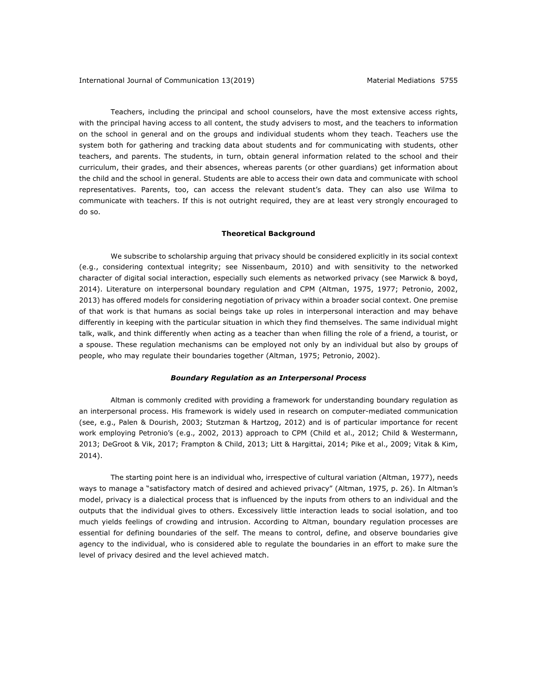Teachers, including the principal and school counselors, have the most extensive access rights, with the principal having access to all content, the study advisers to most, and the teachers to information on the school in general and on the groups and individual students whom they teach. Teachers use the system both for gathering and tracking data about students and for communicating with students, other teachers, and parents. The students, in turn, obtain general information related to the school and their curriculum, their grades, and their absences, whereas parents (or other guardians) get information about the child and the school in general. Students are able to access their own data and communicate with school representatives. Parents, too, can access the relevant student's data. They can also use Wilma to communicate with teachers. If this is not outright required, they are at least very strongly encouraged to do so.

## **Theoretical Background**

We subscribe to scholarship arguing that privacy should be considered explicitly in its social context (e.g., considering contextual integrity; see Nissenbaum, 2010) and with sensitivity to the networked character of digital social interaction, especially such elements as networked privacy (see Marwick & boyd, 2014). Literature on interpersonal boundary regulation and CPM (Altman, 1975, 1977; Petronio, 2002, 2013) has offered models for considering negotiation of privacy within a broader social context. One premise of that work is that humans as social beings take up roles in interpersonal interaction and may behave differently in keeping with the particular situation in which they find themselves. The same individual might talk, walk, and think differently when acting as a teacher than when filling the role of a friend, a tourist, or a spouse. These regulation mechanisms can be employed not only by an individual but also by groups of people, who may regulate their boundaries together (Altman, 1975; Petronio, 2002).

## *Boundary Regulation as an Interpersonal Process*

Altman is commonly credited with providing a framework for understanding boundary regulation as an interpersonal process. His framework is widely used in research on computer-mediated communication (see, e.g., Palen & Dourish, 2003; Stutzman & Hartzog, 2012) and is of particular importance for recent work employing Petronio's (e.g., 2002, 2013) approach to CPM (Child et al., 2012; Child & Westermann, 2013; DeGroot & Vik, 2017; Frampton & Child, 2013; Litt & Hargittai, 2014; Pike et al., 2009; Vitak & Kim, 2014).

The starting point here is an individual who, irrespective of cultural variation (Altman, 1977), needs ways to manage a "satisfactory match of desired and achieved privacy" (Altman, 1975, p. 26). In Altman's model, privacy is a dialectical process that is influenced by the inputs from others to an individual and the outputs that the individual gives to others. Excessively little interaction leads to social isolation, and too much yields feelings of crowding and intrusion. According to Altman, boundary regulation processes are essential for defining boundaries of the self. The means to control, define, and observe boundaries give agency to the individual, who is considered able to regulate the boundaries in an effort to make sure the level of privacy desired and the level achieved match.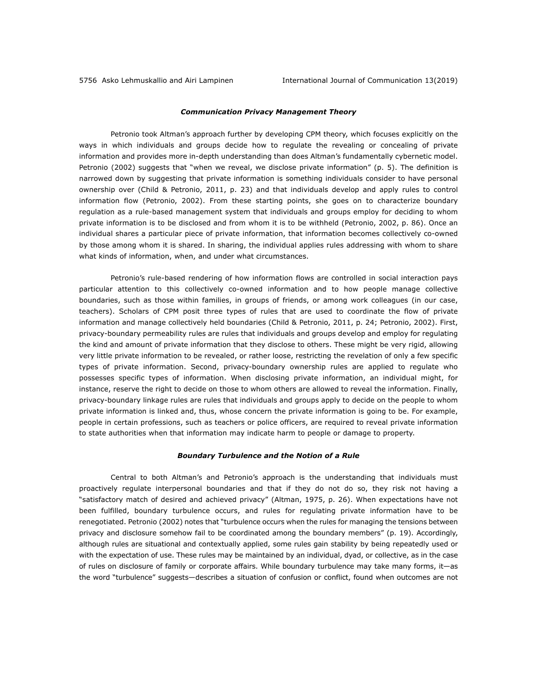#### *Communication Privacy Management Theory*

Petronio took Altman's approach further by developing CPM theory, which focuses explicitly on the ways in which individuals and groups decide how to regulate the revealing or concealing of private information and provides more in-depth understanding than does Altman's fundamentally cybernetic model. Petronio (2002) suggests that "when we reveal, we disclose private information" (p. 5). The definition is narrowed down by suggesting that private information is something individuals consider to have personal ownership over (Child & Petronio, 2011, p. 23) and that individuals develop and apply rules to control information flow (Petronio, 2002). From these starting points, she goes on to characterize boundary regulation as a rule-based management system that individuals and groups employ for deciding to whom private information is to be disclosed and from whom it is to be withheld (Petronio, 2002, p. 86). Once an individual shares a particular piece of private information, that information becomes collectively co-owned by those among whom it is shared. In sharing, the individual applies rules addressing with whom to share what kinds of information, when, and under what circumstances.

Petronio's rule-based rendering of how information flows are controlled in social interaction pays particular attention to this collectively co-owned information and to how people manage collective boundaries, such as those within families, in groups of friends, or among work colleagues (in our case, teachers). Scholars of CPM posit three types of rules that are used to coordinate the flow of private information and manage collectively held boundaries (Child & Petronio, 2011, p. 24; Petronio, 2002). First, privacy-boundary permeability rules are rules that individuals and groups develop and employ for regulating the kind and amount of private information that they disclose to others. These might be very rigid, allowing very little private information to be revealed, or rather loose, restricting the revelation of only a few specific types of private information. Second, privacy-boundary ownership rules are applied to regulate who possesses specific types of information. When disclosing private information, an individual might, for instance, reserve the right to decide on those to whom others are allowed to reveal the information. Finally, privacy-boundary linkage rules are rules that individuals and groups apply to decide on the people to whom private information is linked and, thus, whose concern the private information is going to be. For example, people in certain professions, such as teachers or police officers, are required to reveal private information to state authorities when that information may indicate harm to people or damage to property.

### *Boundary Turbulence and the Notion of a Rule*

Central to both Altman's and Petronio's approach is the understanding that individuals must proactively regulate interpersonal boundaries and that if they do not do so, they risk not having a "satisfactory match of desired and achieved privacy" (Altman, 1975, p. 26). When expectations have not been fulfilled, boundary turbulence occurs, and rules for regulating private information have to be renegotiated. Petronio (2002) notes that "turbulence occurs when the rules for managing the tensions between privacy and disclosure somehow fail to be coordinated among the boundary members" (p. 19). Accordingly, although rules are situational and contextually applied, some rules gain stability by being repeatedly used or with the expectation of use. These rules may be maintained by an individual, dyad, or collective, as in the case of rules on disclosure of family or corporate affairs. While boundary turbulence may take many forms, it—as the word "turbulence" suggests—describes a situation of confusion or conflict, found when outcomes are not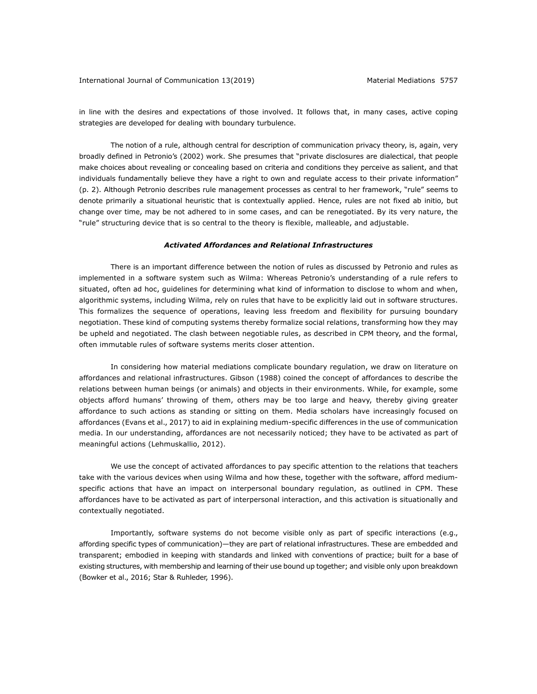in line with the desires and expectations of those involved. It follows that, in many cases, active coping strategies are developed for dealing with boundary turbulence.

The notion of a rule, although central for description of communication privacy theory, is, again, very broadly defined in Petronio's (2002) work. She presumes that "private disclosures are dialectical, that people make choices about revealing or concealing based on criteria and conditions they perceive as salient, and that individuals fundamentally believe they have a right to own and regulate access to their private information" (p. 2). Although Petronio describes rule management processes as central to her framework, "rule" seems to denote primarily a situational heuristic that is contextually applied. Hence, rules are not fixed ab initio, but change over time, may be not adhered to in some cases, and can be renegotiated. By its very nature, the "rule" structuring device that is so central to the theory is flexible, malleable, and adjustable.

## *Activated Affordances and Relational Infrastructures*

There is an important difference between the notion of rules as discussed by Petronio and rules as implemented in a software system such as Wilma: Whereas Petronio's understanding of a rule refers to situated, often ad hoc, guidelines for determining what kind of information to disclose to whom and when, algorithmic systems, including Wilma, rely on rules that have to be explicitly laid out in software structures. This formalizes the sequence of operations, leaving less freedom and flexibility for pursuing boundary negotiation. These kind of computing systems thereby formalize social relations, transforming how they may be upheld and negotiated. The clash between negotiable rules, as described in CPM theory, and the formal, often immutable rules of software systems merits closer attention.

In considering how material mediations complicate boundary regulation, we draw on literature on affordances and relational infrastructures. Gibson (1988) coined the concept of affordances to describe the relations between human beings (or animals) and objects in their environments. While, for example, some objects afford humans' throwing of them, others may be too large and heavy, thereby giving greater affordance to such actions as standing or sitting on them. Media scholars have increasingly focused on affordances (Evans et al., 2017) to aid in explaining medium-specific differences in the use of communication media. In our understanding, affordances are not necessarily noticed; they have to be activated as part of meaningful actions (Lehmuskallio, 2012).

We use the concept of activated affordances to pay specific attention to the relations that teachers take with the various devices when using Wilma and how these, together with the software, afford mediumspecific actions that have an impact on interpersonal boundary regulation, as outlined in CPM. These affordances have to be activated as part of interpersonal interaction, and this activation is situationally and contextually negotiated.

Importantly, software systems do not become visible only as part of specific interactions (e.g., affording specific types of communication)—they are part of relational infrastructures. These are embedded and transparent; embodied in keeping with standards and linked with conventions of practice; built for a base of existing structures, with membership and learning of their use bound up together; and visible only upon breakdown (Bowker et al., 2016; Star & Ruhleder, 1996).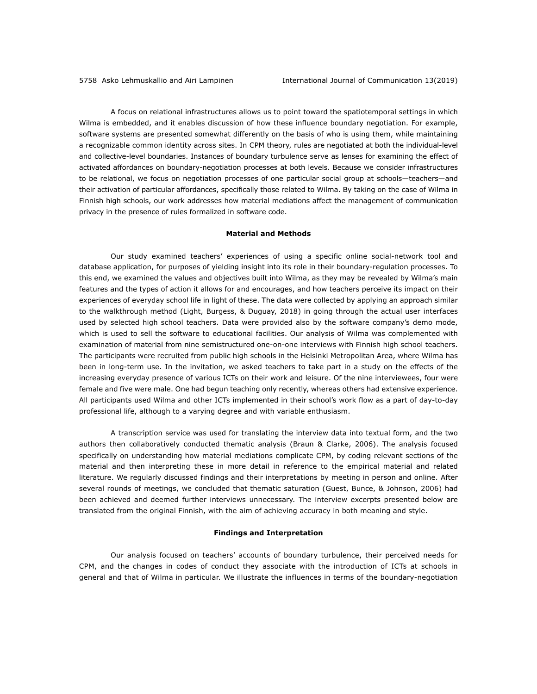A focus on relational infrastructures allows us to point toward the spatiotemporal settings in which Wilma is embedded, and it enables discussion of how these influence boundary negotiation. For example, software systems are presented somewhat differently on the basis of who is using them, while maintaining a recognizable common identity across sites. In CPM theory, rules are negotiated at both the individual-level and collective-level boundaries. Instances of boundary turbulence serve as lenses for examining the effect of activated affordances on boundary-negotiation processes at both levels. Because we consider infrastructures to be relational, we focus on negotiation processes of one particular social group at schools—teachers—and their activation of particular affordances, specifically those related to Wilma. By taking on the case of Wilma in Finnish high schools, our work addresses how material mediations affect the management of communication privacy in the presence of rules formalized in software code.

## **Material and Methods**

Our study examined teachers' experiences of using a specific online social-network tool and database application, for purposes of yielding insight into its role in their boundary-regulation processes. To this end, we examined the values and objectives built into Wilma, as they may be revealed by Wilma's main features and the types of action it allows for and encourages, and how teachers perceive its impact on their experiences of everyday school life in light of these. The data were collected by applying an approach similar to the walkthrough method (Light, Burgess, & Duguay, 2018) in going through the actual user interfaces used by selected high school teachers. Data were provided also by the software company's demo mode, which is used to sell the software to educational facilities. Our analysis of Wilma was complemented with examination of material from nine semistructured one-on-one interviews with Finnish high school teachers. The participants were recruited from public high schools in the Helsinki Metropolitan Area, where Wilma has been in long-term use. In the invitation, we asked teachers to take part in a study on the effects of the increasing everyday presence of various ICTs on their work and leisure. Of the nine interviewees, four were female and five were male. One had begun teaching only recently, whereas others had extensive experience. All participants used Wilma and other ICTs implemented in their school's work flow as a part of day-to-day professional life, although to a varying degree and with variable enthusiasm.

A transcription service was used for translating the interview data into textual form, and the two authors then collaboratively conducted thematic analysis (Braun & Clarke, 2006). The analysis focused specifically on understanding how material mediations complicate CPM, by coding relevant sections of the material and then interpreting these in more detail in reference to the empirical material and related literature. We regularly discussed findings and their interpretations by meeting in person and online. After several rounds of meetings, we concluded that thematic saturation (Guest, Bunce, & Johnson, 2006) had been achieved and deemed further interviews unnecessary. The interview excerpts presented below are translated from the original Finnish, with the aim of achieving accuracy in both meaning and style.

## **Findings and Interpretation**

Our analysis focused on teachers' accounts of boundary turbulence, their perceived needs for CPM, and the changes in codes of conduct they associate with the introduction of ICTs at schools in general and that of Wilma in particular. We illustrate the influences in terms of the boundary-negotiation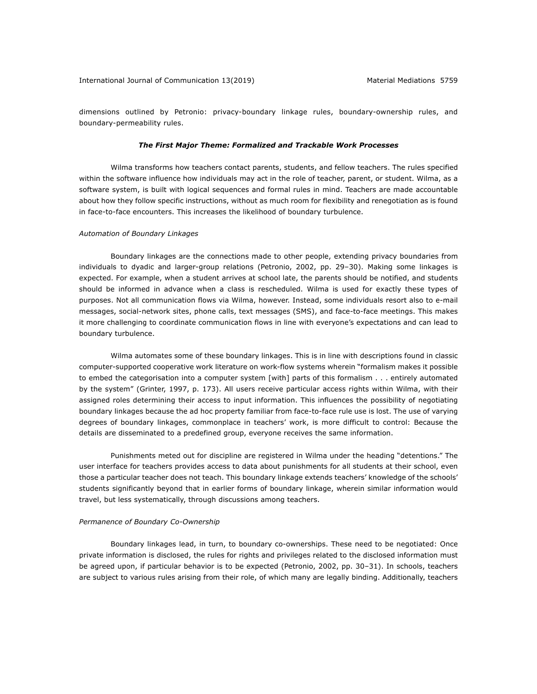dimensions outlined by Petronio: privacy-boundary linkage rules, boundary-ownership rules, and boundary-permeability rules.

#### *The First Major Theme: Formalized and Trackable Work Processes*

Wilma transforms how teachers contact parents, students, and fellow teachers. The rules specified within the software influence how individuals may act in the role of teacher, parent, or student. Wilma, as a software system, is built with logical sequences and formal rules in mind. Teachers are made accountable about how they follow specific instructions, without as much room for flexibility and renegotiation as is found in face-to-face encounters. This increases the likelihood of boundary turbulence.

## *Automation of Boundary Linkages*

Boundary linkages are the connections made to other people, extending privacy boundaries from individuals to dyadic and larger-group relations (Petronio, 2002, pp. 29–30). Making some linkages is expected. For example, when a student arrives at school late, the parents should be notified, and students should be informed in advance when a class is rescheduled. Wilma is used for exactly these types of purposes. Not all communication flows via Wilma, however. Instead, some individuals resort also to e-mail messages, social-network sites, phone calls, text messages (SMS), and face-to-face meetings. This makes it more challenging to coordinate communication flows in line with everyone's expectations and can lead to boundary turbulence.

Wilma automates some of these boundary linkages. This is in line with descriptions found in classic computer-supported cooperative work literature on work-flow systems wherein "formalism makes it possible to embed the categorisation into a computer system [with] parts of this formalism . . . entirely automated by the system" (Grinter, 1997, p. 173). All users receive particular access rights within Wilma, with their assigned roles determining their access to input information. This influences the possibility of negotiating boundary linkages because the ad hoc property familiar from face-to-face rule use is lost. The use of varying degrees of boundary linkages, commonplace in teachers' work, is more difficult to control: Because the details are disseminated to a predefined group, everyone receives the same information.

Punishments meted out for discipline are registered in Wilma under the heading "detentions." The user interface for teachers provides access to data about punishments for all students at their school, even those a particular teacher does not teach. This boundary linkage extends teachers' knowledge of the schools' students significantly beyond that in earlier forms of boundary linkage, wherein similar information would travel, but less systematically, through discussions among teachers.

### *Permanence of Boundary Co-Ownership*

Boundary linkages lead, in turn, to boundary co-ownerships. These need to be negotiated: Once private information is disclosed, the rules for rights and privileges related to the disclosed information must be agreed upon, if particular behavior is to be expected (Petronio, 2002, pp. 30–31). In schools, teachers are subject to various rules arising from their role, of which many are legally binding. Additionally, teachers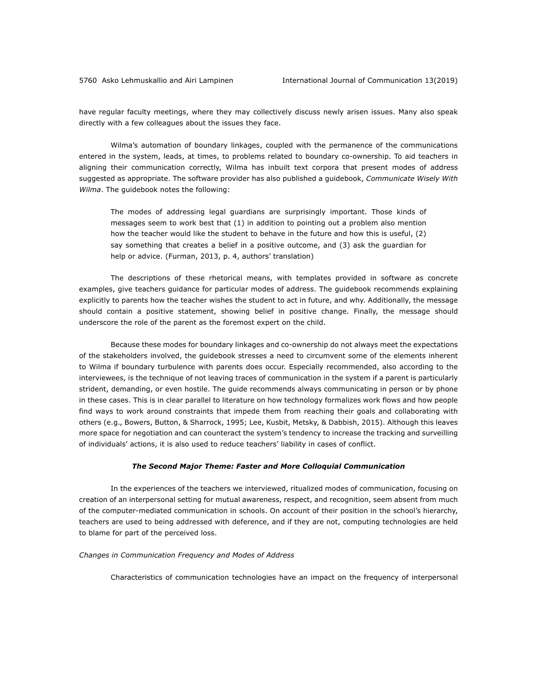have regular faculty meetings, where they may collectively discuss newly arisen issues. Many also speak directly with a few colleagues about the issues they face.

Wilma's automation of boundary linkages, coupled with the permanence of the communications entered in the system, leads, at times, to problems related to boundary co-ownership. To aid teachers in aligning their communication correctly, Wilma has inbuilt text corpora that present modes of address suggested as appropriate. The software provider has also published a guidebook, *Communicate Wisely With Wilma*. The guidebook notes the following:

The modes of addressing legal guardians are surprisingly important. Those kinds of messages seem to work best that (1) in addition to pointing out a problem also mention how the teacher would like the student to behave in the future and how this is useful, (2) say something that creates a belief in a positive outcome, and (3) ask the guardian for help or advice. (Furman, 2013, p. 4, authors' translation)

The descriptions of these rhetorical means, with templates provided in software as concrete examples, give teachers guidance for particular modes of address. The guidebook recommends explaining explicitly to parents how the teacher wishes the student to act in future, and why. Additionally, the message should contain a positive statement, showing belief in positive change. Finally, the message should underscore the role of the parent as the foremost expert on the child.

Because these modes for boundary linkages and co-ownership do not always meet the expectations of the stakeholders involved, the guidebook stresses a need to circumvent some of the elements inherent to Wilma if boundary turbulence with parents does occur. Especially recommended, also according to the interviewees, is the technique of not leaving traces of communication in the system if a parent is particularly strident, demanding, or even hostile. The guide recommends always communicating in person or by phone in these cases. This is in clear parallel to literature on how technology formalizes work flows and how people find ways to work around constraints that impede them from reaching their goals and collaborating with others (e.g., Bowers, Button, & Sharrock, 1995; Lee, Kusbit, Metsky, & Dabbish, 2015). Although this leaves more space for negotiation and can counteract the system's tendency to increase the tracking and surveilling of individuals' actions, it is also used to reduce teachers' liability in cases of conflict.

### *The Second Major Theme: Faster and More Colloquial Communication*

In the experiences of the teachers we interviewed, ritualized modes of communication, focusing on creation of an interpersonal setting for mutual awareness, respect, and recognition, seem absent from much of the computer-mediated communication in schools. On account of their position in the school's hierarchy, teachers are used to being addressed with deference, and if they are not, computing technologies are held to blame for part of the perceived loss.

### *Changes in Communication Frequency and Modes of Address*

Characteristics of communication technologies have an impact on the frequency of interpersonal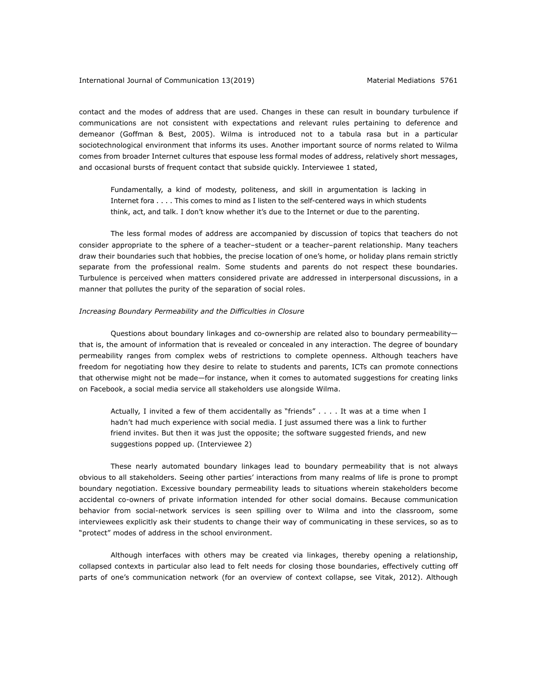contact and the modes of address that are used. Changes in these can result in boundary turbulence if communications are not consistent with expectations and relevant rules pertaining to deference and demeanor (Goffman & Best, 2005). Wilma is introduced not to a tabula rasa but in a particular sociotechnological environment that informs its uses. Another important source of norms related to Wilma comes from broader Internet cultures that espouse less formal modes of address, relatively short messages, and occasional bursts of frequent contact that subside quickly. Interviewee 1 stated,

Fundamentally, a kind of modesty, politeness, and skill in argumentation is lacking in Internet fora . . . . This comes to mind as I listen to the self-centered ways in which students think, act, and talk. I don't know whether it's due to the Internet or due to the parenting.

The less formal modes of address are accompanied by discussion of topics that teachers do not consider appropriate to the sphere of a teacher–student or a teacher–parent relationship. Many teachers draw their boundaries such that hobbies, the precise location of one's home, or holiday plans remain strictly separate from the professional realm. Some students and parents do not respect these boundaries. Turbulence is perceived when matters considered private are addressed in interpersonal discussions, in a manner that pollutes the purity of the separation of social roles.

## *Increasing Boundary Permeability and the Difficulties in Closure*

Questions about boundary linkages and co-ownership are related also to boundary permeability that is, the amount of information that is revealed or concealed in any interaction. The degree of boundary permeability ranges from complex webs of restrictions to complete openness. Although teachers have freedom for negotiating how they desire to relate to students and parents, ICTs can promote connections that otherwise might not be made—for instance, when it comes to automated suggestions for creating links on Facebook, a social media service all stakeholders use alongside Wilma.

Actually, I invited a few of them accidentally as "friends" . . . . It was at a time when I hadn't had much experience with social media. I just assumed there was a link to further friend invites. But then it was just the opposite; the software suggested friends, and new suggestions popped up. (Interviewee 2)

These nearly automated boundary linkages lead to boundary permeability that is not always obvious to all stakeholders. Seeing other parties' interactions from many realms of life is prone to prompt boundary negotiation. Excessive boundary permeability leads to situations wherein stakeholders become accidental co-owners of private information intended for other social domains. Because communication behavior from social-network services is seen spilling over to Wilma and into the classroom, some interviewees explicitly ask their students to change their way of communicating in these services, so as to "protect" modes of address in the school environment.

Although interfaces with others may be created via linkages, thereby opening a relationship, collapsed contexts in particular also lead to felt needs for closing those boundaries, effectively cutting off parts of one's communication network (for an overview of context collapse, see Vitak, 2012). Although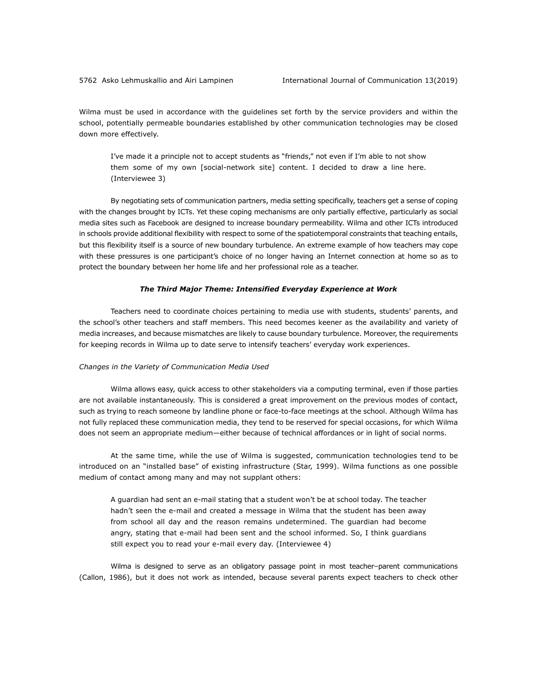Wilma must be used in accordance with the guidelines set forth by the service providers and within the school, potentially permeable boundaries established by other communication technologies may be closed down more effectively.

I've made it a principle not to accept students as "friends," not even if I'm able to not show them some of my own [social-network site] content. I decided to draw a line here. (Interviewee 3)

By negotiating sets of communication partners, media setting specifically, teachers get a sense of coping with the changes brought by ICTs. Yet these coping mechanisms are only partially effective, particularly as social media sites such as Facebook are designed to increase boundary permeability. Wilma and other ICTs introduced in schools provide additional flexibility with respect to some of the spatiotemporal constraints that teaching entails, but this flexibility itself is a source of new boundary turbulence. An extreme example of how teachers may cope with these pressures is one participant's choice of no longer having an Internet connection at home so as to protect the boundary between her home life and her professional role as a teacher.

## *The Third Major Theme: Intensified Everyday Experience at Work*

Teachers need to coordinate choices pertaining to media use with students, students' parents, and the school's other teachers and staff members. This need becomes keener as the availability and variety of media increases, and because mismatches are likely to cause boundary turbulence. Moreover, the requirements for keeping records in Wilma up to date serve to intensify teachers' everyday work experiences.

#### *Changes in the Variety of Communication Media Used*

Wilma allows easy, quick access to other stakeholders via a computing terminal, even if those parties are not available instantaneously. This is considered a great improvement on the previous modes of contact, such as trying to reach someone by landline phone or face-to-face meetings at the school. Although Wilma has not fully replaced these communication media, they tend to be reserved for special occasions, for which Wilma does not seem an appropriate medium—either because of technical affordances or in light of social norms.

At the same time, while the use of Wilma is suggested, communication technologies tend to be introduced on an "installed base" of existing infrastructure (Star, 1999). Wilma functions as one possible medium of contact among many and may not supplant others:

A guardian had sent an e-mail stating that a student won't be at school today. The teacher hadn't seen the e-mail and created a message in Wilma that the student has been away from school all day and the reason remains undetermined. The guardian had become angry, stating that e-mail had been sent and the school informed. So, I think guardians still expect you to read your e-mail every day. (Interviewee 4)

Wilma is designed to serve as an obligatory passage point in most teacher–parent communications (Callon, 1986), but it does not work as intended, because several parents expect teachers to check other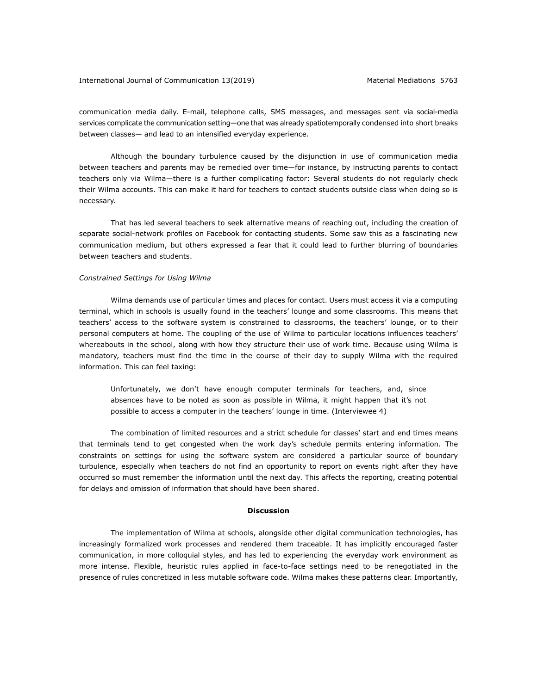communication media daily. E-mail, telephone calls, SMS messages, and messages sent via social-media services complicate the communication setting—one that was already spatiotemporally condensed into short breaks between classes— and lead to an intensified everyday experience.

Although the boundary turbulence caused by the disjunction in use of communication media between teachers and parents may be remedied over time—for instance, by instructing parents to contact teachers only via Wilma—there is a further complicating factor: Several students do not regularly check their Wilma accounts. This can make it hard for teachers to contact students outside class when doing so is necessary.

That has led several teachers to seek alternative means of reaching out, including the creation of separate social-network profiles on Facebook for contacting students. Some saw this as a fascinating new communication medium, but others expressed a fear that it could lead to further blurring of boundaries between teachers and students.

## *Constrained Settings for Using Wilma*

Wilma demands use of particular times and places for contact. Users must access it via a computing terminal, which in schools is usually found in the teachers' lounge and some classrooms. This means that teachers' access to the software system is constrained to classrooms, the teachers' lounge, or to their personal computers at home. The coupling of the use of Wilma to particular locations influences teachers' whereabouts in the school, along with how they structure their use of work time. Because using Wilma is mandatory, teachers must find the time in the course of their day to supply Wilma with the required information. This can feel taxing:

Unfortunately, we don't have enough computer terminals for teachers, and, since absences have to be noted as soon as possible in Wilma, it might happen that it's not possible to access a computer in the teachers' lounge in time. (Interviewee 4)

The combination of limited resources and a strict schedule for classes' start and end times means that terminals tend to get congested when the work day's schedule permits entering information. The constraints on settings for using the software system are considered a particular source of boundary turbulence, especially when teachers do not find an opportunity to report on events right after they have occurred so must remember the information until the next day. This affects the reporting, creating potential for delays and omission of information that should have been shared.

#### **Discussion**

The implementation of Wilma at schools, alongside other digital communication technologies, has increasingly formalized work processes and rendered them traceable. It has implicitly encouraged faster communication, in more colloquial styles, and has led to experiencing the everyday work environment as more intense. Flexible, heuristic rules applied in face-to-face settings need to be renegotiated in the presence of rules concretized in less mutable software code. Wilma makes these patterns clear. Importantly,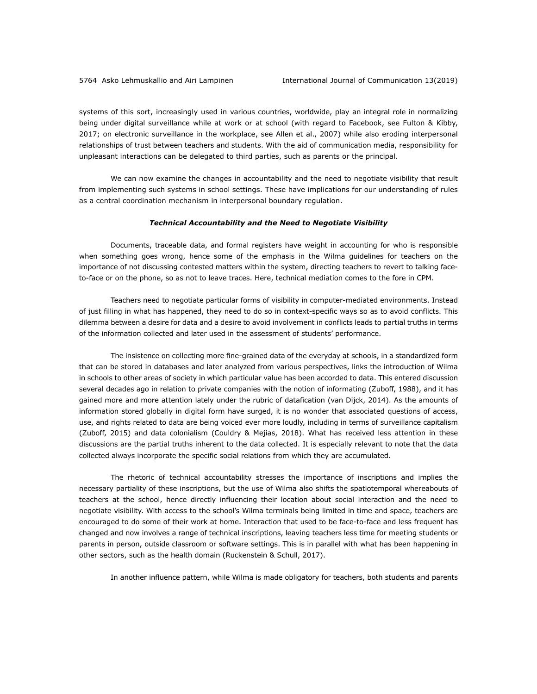systems of this sort, increasingly used in various countries, worldwide, play an integral role in normalizing being under digital surveillance while at work or at school (with regard to Facebook, see Fulton & Kibby, 2017; on electronic surveillance in the workplace, see Allen et al., 2007) while also eroding interpersonal relationships of trust between teachers and students. With the aid of communication media, responsibility for unpleasant interactions can be delegated to third parties, such as parents or the principal.

We can now examine the changes in accountability and the need to negotiate visibility that result from implementing such systems in school settings. These have implications for our understanding of rules as a central coordination mechanism in interpersonal boundary regulation.

## *Technical Accountability and the Need to Negotiate Visibility*

Documents, traceable data, and formal registers have weight in accounting for who is responsible when something goes wrong, hence some of the emphasis in the Wilma guidelines for teachers on the importance of not discussing contested matters within the system, directing teachers to revert to talking faceto-face or on the phone, so as not to leave traces. Here, technical mediation comes to the fore in CPM.

Teachers need to negotiate particular forms of visibility in computer-mediated environments. Instead of just filling in what has happened, they need to do so in context-specific ways so as to avoid conflicts. This dilemma between a desire for data and a desire to avoid involvement in conflicts leads to partial truths in terms of the information collected and later used in the assessment of students' performance.

The insistence on collecting more fine-grained data of the everyday at schools, in a standardized form that can be stored in databases and later analyzed from various perspectives, links the introduction of Wilma in schools to other areas of society in which particular value has been accorded to data. This entered discussion several decades ago in relation to private companies with the notion of informating (Zuboff, 1988), and it has gained more and more attention lately under the rubric of datafication (van Dijck, 2014). As the amounts of information stored globally in digital form have surged, it is no wonder that associated questions of access, use, and rights related to data are being voiced ever more loudly, including in terms of surveillance capitalism (Zuboff, 2015) and data colonialism (Couldry & Mejias, 2018). What has received less attention in these discussions are the partial truths inherent to the data collected. It is especially relevant to note that the data collected always incorporate the specific social relations from which they are accumulated.

The rhetoric of technical accountability stresses the importance of inscriptions and implies the necessary partiality of these inscriptions, but the use of Wilma also shifts the spatiotemporal whereabouts of teachers at the school, hence directly influencing their location about social interaction and the need to negotiate visibility. With access to the school's Wilma terminals being limited in time and space, teachers are encouraged to do some of their work at home. Interaction that used to be face-to-face and less frequent has changed and now involves a range of technical inscriptions, leaving teachers less time for meeting students or parents in person, outside classroom or software settings. This is in parallel with what has been happening in other sectors, such as the health domain (Ruckenstein & Schull, 2017).

In another influence pattern, while Wilma is made obligatory for teachers, both students and parents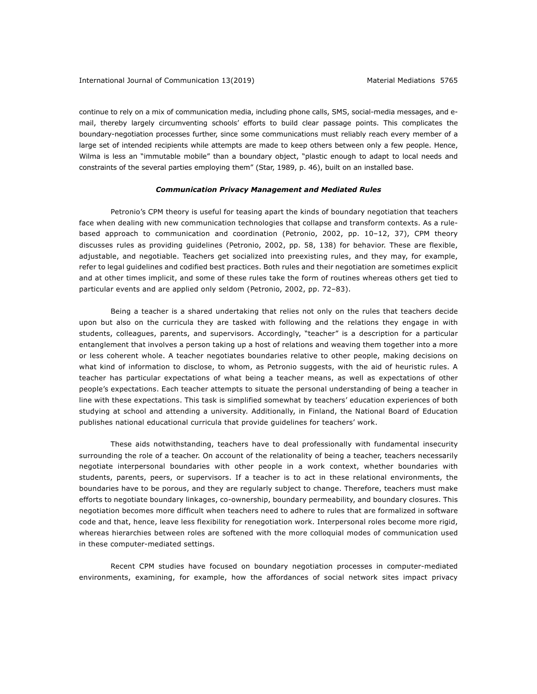continue to rely on a mix of communication media, including phone calls, SMS, social-media messages, and email, thereby largely circumventing schools' efforts to build clear passage points. This complicates the boundary-negotiation processes further, since some communications must reliably reach every member of a large set of intended recipients while attempts are made to keep others between only a few people. Hence, Wilma is less an "immutable mobile" than a boundary object, "plastic enough to adapt to local needs and constraints of the several parties employing them" (Star, 1989, p. 46), built on an installed base.

## *Communication Privacy Management and Mediated Rules*

Petronio's CPM theory is useful for teasing apart the kinds of boundary negotiation that teachers face when dealing with new communication technologies that collapse and transform contexts. As a rulebased approach to communication and coordination (Petronio, 2002, pp. 10–12, 37), CPM theory discusses rules as providing guidelines (Petronio, 2002, pp. 58, 138) for behavior. These are flexible, adjustable, and negotiable. Teachers get socialized into preexisting rules, and they may, for example, refer to legal guidelines and codified best practices. Both rules and their negotiation are sometimes explicit and at other times implicit, and some of these rules take the form of routines whereas others get tied to particular events and are applied only seldom (Petronio, 2002, pp. 72–83).

Being a teacher is a shared undertaking that relies not only on the rules that teachers decide upon but also on the curricula they are tasked with following and the relations they engage in with students, colleagues, parents, and supervisors. Accordingly, "teacher" is a description for a particular entanglement that involves a person taking up a host of relations and weaving them together into a more or less coherent whole. A teacher negotiates boundaries relative to other people, making decisions on what kind of information to disclose, to whom, as Petronio suggests, with the aid of heuristic rules. A teacher has particular expectations of what being a teacher means, as well as expectations of other people's expectations. Each teacher attempts to situate the personal understanding of being a teacher in line with these expectations. This task is simplified somewhat by teachers' education experiences of both studying at school and attending a university. Additionally, in Finland, the National Board of Education publishes national educational curricula that provide guidelines for teachers' work.

These aids notwithstanding, teachers have to deal professionally with fundamental insecurity surrounding the role of a teacher. On account of the relationality of being a teacher, teachers necessarily negotiate interpersonal boundaries with other people in a work context, whether boundaries with students, parents, peers, or supervisors. If a teacher is to act in these relational environments, the boundaries have to be porous, and they are regularly subject to change. Therefore, teachers must make efforts to negotiate boundary linkages, co-ownership, boundary permeability, and boundary closures. This negotiation becomes more difficult when teachers need to adhere to rules that are formalized in software code and that, hence, leave less flexibility for renegotiation work. Interpersonal roles become more rigid, whereas hierarchies between roles are softened with the more colloquial modes of communication used in these computer-mediated settings.

Recent CPM studies have focused on boundary negotiation processes in computer-mediated environments, examining, for example, how the affordances of social network sites impact privacy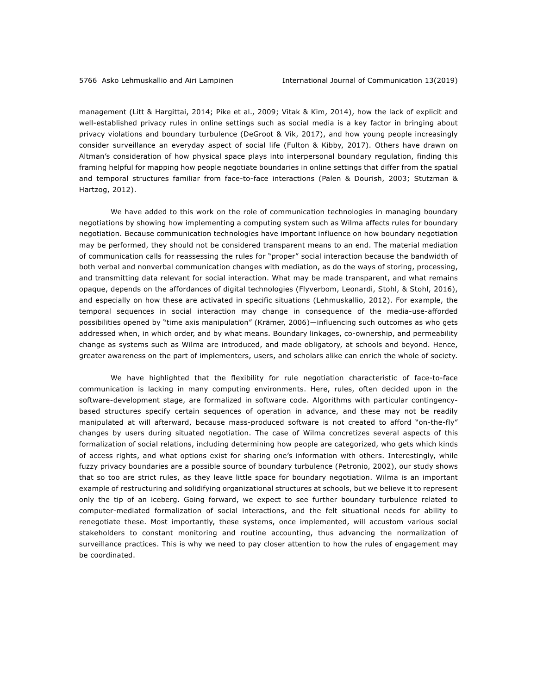management (Litt & Hargittai, 2014; Pike et al., 2009; Vitak & Kim, 2014), how the lack of explicit and well-established privacy rules in online settings such as social media is a key factor in bringing about privacy violations and boundary turbulence (DeGroot & Vik, 2017), and how young people increasingly consider surveillance an everyday aspect of social life (Fulton & Kibby, 2017). Others have drawn on Altman's consideration of how physical space plays into interpersonal boundary regulation, finding this framing helpful for mapping how people negotiate boundaries in online settings that differ from the spatial and temporal structures familiar from face-to-face interactions (Palen & Dourish, 2003; Stutzman & Hartzog, 2012).

We have added to this work on the role of communication technologies in managing boundary negotiations by showing how implementing a computing system such as Wilma affects rules for boundary negotiation. Because communication technologies have important influence on how boundary negotiation may be performed, they should not be considered transparent means to an end. The material mediation of communication calls for reassessing the rules for "proper" social interaction because the bandwidth of both verbal and nonverbal communication changes with mediation, as do the ways of storing, processing, and transmitting data relevant for social interaction. What may be made transparent, and what remains opaque, depends on the affordances of digital technologies (Flyverbom, Leonardi, Stohl, & Stohl, 2016), and especially on how these are activated in specific situations (Lehmuskallio, 2012). For example, the temporal sequences in social interaction may change in consequence of the media-use-afforded possibilities opened by "time axis manipulation" (Krämer, 2006)—influencing such outcomes as who gets addressed when, in which order, and by what means. Boundary linkages, co-ownership, and permeability change as systems such as Wilma are introduced, and made obligatory, at schools and beyond. Hence, greater awareness on the part of implementers, users, and scholars alike can enrich the whole of society.

We have highlighted that the flexibility for rule negotiation characteristic of face-to-face communication is lacking in many computing environments. Here, rules, often decided upon in the software-development stage, are formalized in software code. Algorithms with particular contingencybased structures specify certain sequences of operation in advance, and these may not be readily manipulated at will afterward, because mass-produced software is not created to afford "on-the-fly" changes by users during situated negotiation. The case of Wilma concretizes several aspects of this formalization of social relations, including determining how people are categorized, who gets which kinds of access rights, and what options exist for sharing one's information with others. Interestingly, while fuzzy privacy boundaries are a possible source of boundary turbulence (Petronio, 2002), our study shows that so too are strict rules, as they leave little space for boundary negotiation. Wilma is an important example of restructuring and solidifying organizational structures at schools, but we believe it to represent only the tip of an iceberg. Going forward, we expect to see further boundary turbulence related to computer-mediated formalization of social interactions, and the felt situational needs for ability to renegotiate these. Most importantly, these systems, once implemented, will accustom various social stakeholders to constant monitoring and routine accounting, thus advancing the normalization of surveillance practices. This is why we need to pay closer attention to how the rules of engagement may be coordinated.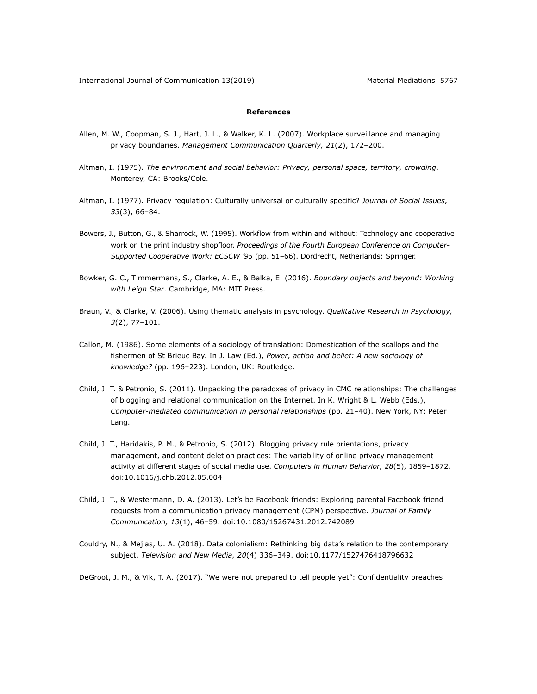## **References**

- Allen, M. W., Coopman, S. J., Hart, J. L., & Walker, K. L. (2007). Workplace surveillance and managing privacy boundaries. *Management Communication Quarterly, 21*(2), 172–200.
- Altman, I. (1975). *The environment and social behavior: Privacy, personal space, territory, crowding*. Monterey, CA: Brooks/Cole.
- Altman, I. (1977). Privacy regulation: Culturally universal or culturally specific? *Journal of Social Issues, 33*(3), 66–84.
- Bowers, J., Button, G., & Sharrock, W. (1995). Workflow from within and without: Technology and cooperative work on the print industry shopfloor. *Proceedings of the Fourth European Conference on Computer-Supported Cooperative Work: ECSCW '95* (pp. 51–66). Dordrecht, Netherlands: Springer.
- Bowker, G. C., Timmermans, S., Clarke, A. E., & Balka, E. (2016). *Boundary objects and beyond: Working with Leigh Star*. Cambridge, MA: MIT Press.
- Braun, V., & Clarke, V. (2006). Using thematic analysis in psychology. *Qualitative Research in Psychology, 3*(2), 77–101.
- Callon, M. (1986). Some elements of a sociology of translation: Domestication of the scallops and the fishermen of St Brieuc Bay. In J. Law (Ed.), *Power, action and belief: A new sociology of knowledge?* (pp. 196–223). London, UK: Routledge.
- Child, J. T. & Petronio, S. (2011). Unpacking the paradoxes of privacy in CMC relationships: The challenges of blogging and relational communication on the Internet. In K. Wright & L. Webb (Eds.), *Computer-mediated communication in personal relationships* (pp. 21–40). New York, NY: Peter Lang.
- Child, J. T., Haridakis, P. M., & Petronio, S. (2012). Blogging privacy rule orientations, privacy management, and content deletion practices: The variability of online privacy management activity at different stages of social media use. *Computers in Human Behavior, 28*(5), 1859–1872. doi:10.1016/j.chb.2012.05.004
- Child, J. T., & Westermann, D. A. (2013). Let's be Facebook friends: Exploring parental Facebook friend requests from a communication privacy management (CPM) perspective. *Journal of Family Communication, 13*(1), 46–59. doi:10.1080/15267431.2012.742089
- Couldry, N., & Mejias, U. A. (2018). Data colonialism: Rethinking big data's relation to the contemporary subject. *Television and New Media, 20*(4) 336–349. doi:10.1177/1527476418796632

DeGroot, J. M., & Vik, T. A. (2017). "We were not prepared to tell people yet": Confidentiality breaches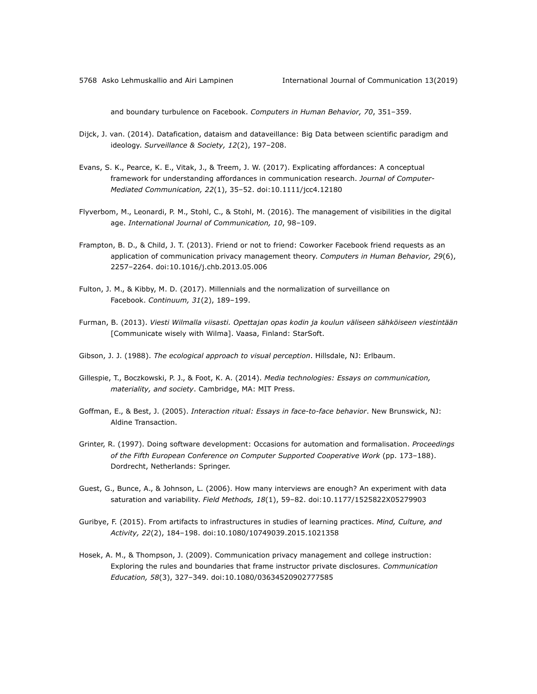and boundary turbulence on Facebook. *Computers in Human Behavior, 70*, 351–359.

- Dijck, J. van. (2014). Datafication, dataism and dataveillance: Big Data between scientific paradigm and ideology. *Surveillance & Society, 12*(2), 197–208.
- Evans, S. K., Pearce, K. E., Vitak, J., & Treem, J. W. (2017). Explicating affordances: A conceptual framework for understanding affordances in communication research. *Journal of Computer-Mediated Communication, 22*(1), 35–52. doi:10.1111/jcc4.12180
- Flyverbom, M., Leonardi, P. M., Stohl, C., & Stohl, M. (2016). The management of visibilities in the digital age. *International Journal of Communication, 10*, 98–109.
- Frampton, B. D., & Child, J. T. (2013). Friend or not to friend: Coworker Facebook friend requests as an application of communication privacy management theory. *Computers in Human Behavior, 29*(6), 2257–2264. doi:10.1016/j.chb.2013.05.006
- Fulton, J. M., & Kibby, M. D. (2017). Millennials and the normalization of surveillance on Facebook. *Continuum, 31*(2), 189–199.
- Furman, B. (2013). *Viesti Wilmalla viisasti. Opettajan opas kodin ja koulun väliseen sähköiseen viestintään* [Communicate wisely with Wilma]. Vaasa, Finland: StarSoft.
- Gibson, J. J. (1988). *The ecological approach to visual perception*. Hillsdale, NJ: Erlbaum.
- Gillespie, T., Boczkowski, P. J., & Foot, K. A. (2014). *Media technologies: Essays on communication, materiality, and society*. Cambridge, MA: MIT Press.
- Goffman, E., & Best, J. (2005). *Interaction ritual: Essays in face-to-face behavior*. New Brunswick, NJ: Aldine Transaction.
- Grinter, R. (1997). Doing software development: Occasions for automation and formalisation. *Proceedings of the Fifth European Conference on Computer Supported Cooperative Work* (pp. 173–188). Dordrecht, Netherlands: Springer.
- Guest, G., Bunce, A., & Johnson, L. (2006). How many interviews are enough? An experiment with data saturation and variability. *Field Methods, 18*(1), 59–82. doi:10.1177/1525822X05279903
- Guribye, F. (2015). From artifacts to infrastructures in studies of learning practices. *Mind, Culture, and Activity, 22*(2), 184–198. doi:10.1080/10749039.2015.1021358
- Hosek, A. M., & Thompson, J. (2009). Communication privacy management and college instruction: Exploring the rules and boundaries that frame instructor private disclosures. *Communication Education, 58*(3), 327–349. doi:10.1080/03634520902777585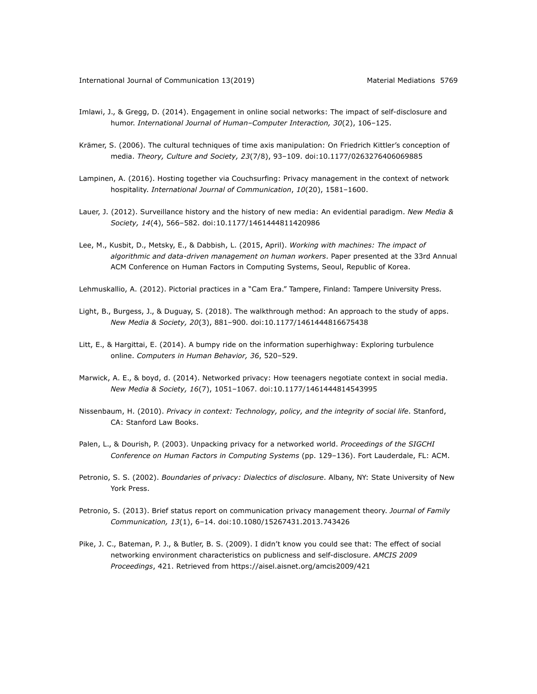- Imlawi, J., & Gregg, D. (2014). Engagement in online social networks: The impact of self-disclosure and humor. *International Journal of Human–Computer Interaction, 30*(2), 106–125.
- Krämer, S. (2006). The cultural techniques of time axis manipulation: On Friedrich Kittler's conception of media. *Theory, Culture and Society, 23*(7/8), 93–109. doi:10.1177/0263276406069885
- Lampinen, A. (2016). Hosting together via Couchsurfing: Privacy management in the context of network hospitality. *International Journal of Communication*, *10*(20), 1581–1600.
- Lauer, J. (2012). Surveillance history and the history of new media: An evidential paradigm. *New Media & Society, 14*(4), 566–582. doi:10.1177/1461444811420986
- Lee, M., Kusbit, D., Metsky, E., & Dabbish, L. (2015, April). *Working with machines: The impact of algorithmic and data-driven management on human workers*. Paper presented at the 33rd Annual ACM Conference on Human Factors in Computing Systems, Seoul, Republic of Korea.
- Lehmuskallio, A. (2012). Pictorial practices in a "Cam Era." Tampere, Finland: Tampere University Press.
- Light, B., Burgess, J., & Duguay, S. (2018). The walkthrough method: An approach to the study of apps. *New Media & Society, 20*(3), 881–900. doi:10.1177/1461444816675438
- Litt, E., & Hargittai, E. (2014). A bumpy ride on the information superhighway: Exploring turbulence online. *Computers in Human Behavior, 36*, 520–529.
- Marwick, A. E., & boyd, d. (2014). Networked privacy: How teenagers negotiate context in social media. *New Media & Society, 16*(7), 1051–1067. doi:10.1177/1461444814543995
- Nissenbaum, H. (2010). *Privacy in context: Technology, policy, and the integrity of social life*. Stanford, CA: Stanford Law Books.
- Palen, L., & Dourish, P. (2003). Unpacking privacy for a networked world. *Proceedings of the SIGCHI Conference on Human Factors in Computing Systems* (pp. 129–136). Fort Lauderdale, FL: ACM.
- Petronio, S. S. (2002). *Boundaries of privacy: Dialectics of disclosure*. Albany, NY: State University of New York Press.
- Petronio, S. (2013). Brief status report on communication privacy management theory. *Journal of Family Communication, 13*(1), 6–14. doi:10.1080/15267431.2013.743426
- Pike, J. C., Bateman, P. J., & Butler, B. S. (2009). I didn't know you could see that: The effect of social networking environment characteristics on publicness and self-disclosure. *AMCIS 2009 Proceedings*, 421. Retrieved from https://aisel.aisnet.org/amcis2009/421